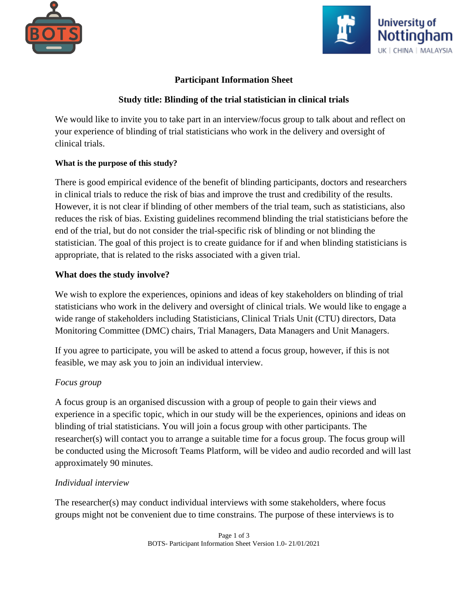



## **Participant Information Sheet**

## **Study title: Blinding of the trial statistician in clinical trials**

We would like to invite you to take part in an interview/focus group to talk about and reflect on your experience of blinding of trial statisticians who work in the delivery and oversight of clinical trials.

### **What is the purpose of this study?**

There is good empirical evidence of the benefit of blinding participants, doctors and researchers in clinical trials to reduce the risk of bias and improve the trust and credibility of the results. However, it is not clear if blinding of other members of the trial team, such as statisticians, also reduces the risk of bias. Existing guidelines recommend blinding the trial statisticians before the end of the trial, but do not consider the trial-specific risk of blinding or not blinding the statistician. The goal of this project is to create guidance for if and when blinding statisticians is appropriate, that is related to the risks associated with a given trial.

## **What does the study involve?**

We wish to explore the experiences, opinions and ideas of key stakeholders on blinding of trial statisticians who work in the delivery and oversight of clinical trials. We would like to engage a wide range of stakeholders including Statisticians, Clinical Trials Unit (CTU) directors, Data Monitoring Committee (DMC) chairs, Trial Managers, Data Managers and Unit Managers.

If you agree to participate, you will be asked to attend a focus group, however, if this is not feasible, we may ask you to join an individual interview.

## *Focus group*

A focus group is an organised discussion with a group of people to gain their views and experience in a specific topic, which in our study will be the experiences, opinions and ideas on blinding of trial statisticians. You will join a focus group with other participants. The researcher(s) will contact you to arrange a suitable time for a focus group. The focus group will be conducted using the Microsoft Teams Platform, will be video and audio recorded and will last approximately 90 minutes.

## *Individual interview*

The researcher(s) may conduct individual interviews with some stakeholders, where focus groups might not be convenient due to time constrains. The purpose of these interviews is to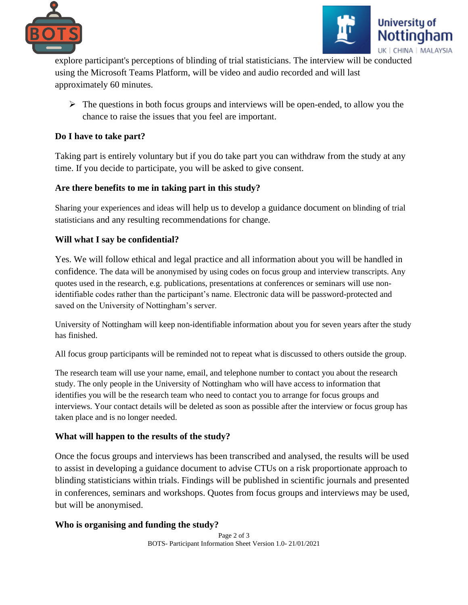



explore participant's perceptions of blinding of trial statisticians. The interview will be conducted using the Microsoft Teams Platform, will be video and audio recorded and will last approximately 60 minutes.

 $\triangleright$  The questions in both focus groups and interviews will be open-ended, to allow you the chance to raise the issues that you feel are important.

## **Do I have to take part?**

Taking part is entirely voluntary but if you do take part you can withdraw from the study at any time. If you decide to participate, you will be asked to give consent.

# **Are there benefits to me in taking part in this study?**

Sharing your experiences and ideas will help us to develop a guidance document on blinding of trial statisticians and any resulting recommendations for change.

# **Will what I say be confidential?**

Yes. We will follow ethical and legal practice and all information about you will be handled in confidence. The data will be anonymised by using codes on focus group and interview transcripts. Any quotes used in the research, e.g. publications, presentations at conferences or seminars will use nonidentifiable codes rather than the participant's name. Electronic data will be password-protected and saved on the University of Nottingham's server.

University of Nottingham will keep non-identifiable information about you for seven years after the study has finished.

All focus group participants will be reminded not to repeat what is discussed to others outside the group.

The research team will use your name, email, and telephone number to contact you about the research study. The only people in the University of Nottingham who will have access to information that identifies you will be the research team who need to contact you to arrange for focus groups and interviews. Your contact details will be deleted as soon as possible after the interview or focus group has taken place and is no longer needed.

## **What will happen to the results of the study?**

Once the focus groups and interviews has been transcribed and analysed, the results will be used to assist in developing a guidance document to advise CTUs on a risk proportionate approach to blinding statisticians within trials. Findings will be published in scientific journals and presented in conferences, seminars and workshops. Quotes from focus groups and interviews may be used, but will be anonymised.

# **Who is organising and funding the study?**

Page 2 of 3 BOTS- Participant Information Sheet Version 1.0- 21/01/2021